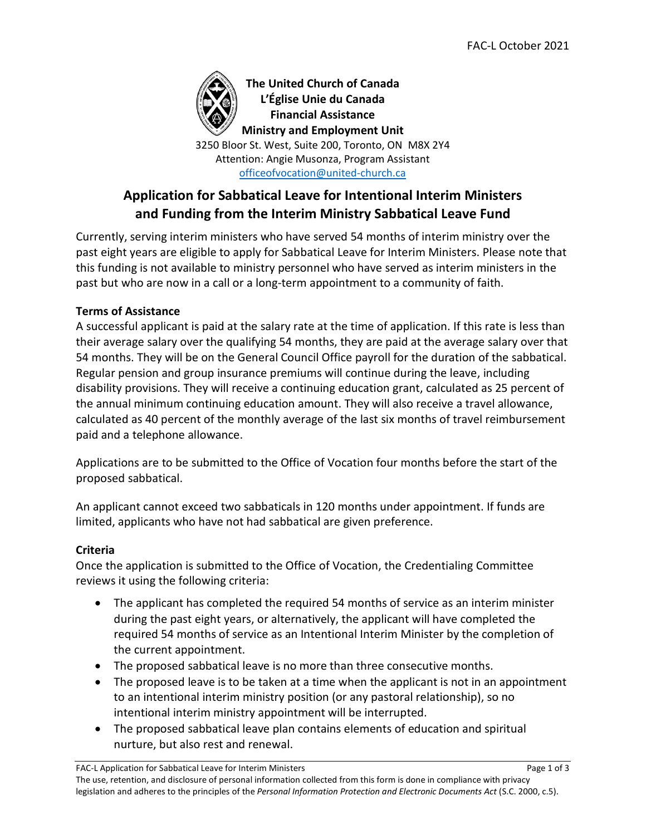

**The United Church of Canada L'Église Unie du Canada Financial Assistance Ministry and Employment Unit**

3250 Bloor St. West, Suite 200, Toronto, ON M8X 2Y4 Attention: Angie Musonza, Program Assistant [officeofvocation@united-church.ca](mailto:officeofvocation@united-church.ca)

# **Application for Sabbatical Leave for Intentional Interim Ministers and Funding from the Interim Ministry Sabbatical Leave Fund**

Currently, serving interim ministers who have served 54 months of interim ministry over the past eight years are eligible to apply for Sabbatical Leave for Interim Ministers. Please note that this funding is not available to ministry personnel who have served as interim ministers in the past but who are now in a call or a long-term appointment to a community of faith.

# **Terms of Assistance**

A successful applicant is paid at the salary rate at the time of application. If this rate is less than their average salary over the qualifying 54 months, they are paid at the average salary over that 54 months. They will be on the General Council Office payroll for the duration of the sabbatical. Regular pension and group insurance premiums will continue during the leave, including disability provisions. They will receive a continuing education grant, calculated as 25 percent of the annual minimum continuing education amount. They will also receive a travel allowance, calculated as 40 percent of the monthly average of the last six months of travel reimbursement paid and a telephone allowance.

Applications are to be submitted to the Office of Vocation four months before the start of the proposed sabbatical.

An applicant cannot exceed two sabbaticals in 120 months under appointment. If funds are limited, applicants who have not had sabbatical are given preference.

# **Criteria**

Once the application is submitted to the Office of Vocation, the Credentialing Committee reviews it using the following criteria:

- The applicant has completed the required 54 months of service as an interim minister during the past eight years, or alternatively, the applicant will have completed the required 54 months of service as an Intentional Interim Minister by the completion of the current appointment.
- The proposed sabbatical leave is no more than three consecutive months.
- The proposed leave is to be taken at a time when the applicant is not in an appointment to an intentional interim ministry position (or any pastoral relationship), so no intentional interim ministry appointment will be interrupted.
- The proposed sabbatical leave plan contains elements of education and spiritual nurture, but also rest and renewal.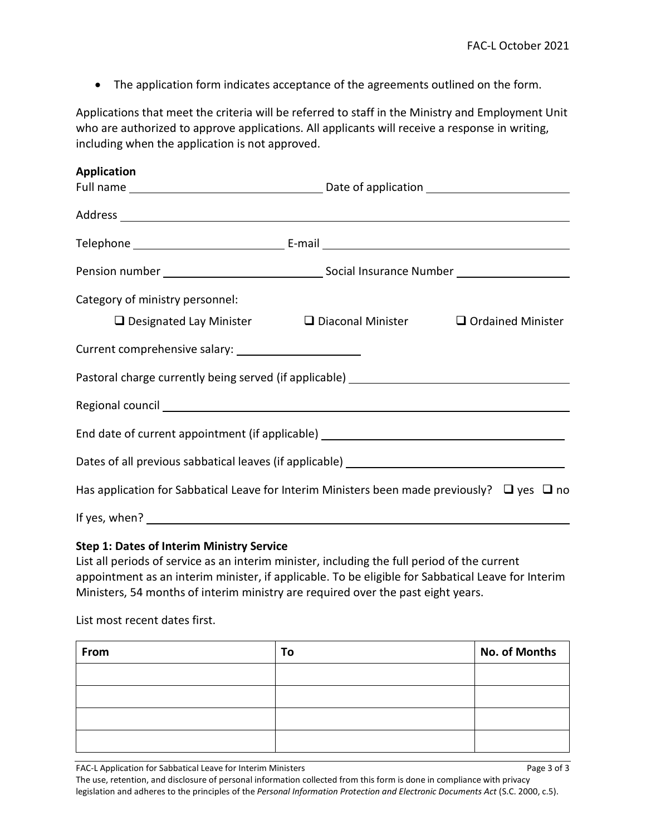• The application form indicates acceptance of the agreements outlined on the form.

Applications that meet the criteria will be referred to staff in the Ministry and Employment Unit who are authorized to approve applications. All applicants will receive a response in writing, including when the application is not approved.

| <b>Application</b>                                                                                    |                                                                                           |  |  |  |  |
|-------------------------------------------------------------------------------------------------------|-------------------------------------------------------------------------------------------|--|--|--|--|
|                                                                                                       |                                                                                           |  |  |  |  |
|                                                                                                       |                                                                                           |  |  |  |  |
|                                                                                                       |                                                                                           |  |  |  |  |
|                                                                                                       |                                                                                           |  |  |  |  |
| Category of ministry personnel:                                                                       |                                                                                           |  |  |  |  |
|                                                                                                       | $\square$ Designated Lay Minister $\square$ Diaconal Minister $\square$ Ordained Minister |  |  |  |  |
|                                                                                                       |                                                                                           |  |  |  |  |
| Pastoral charge currently being served (if applicable) __________________________                     |                                                                                           |  |  |  |  |
|                                                                                                       |                                                                                           |  |  |  |  |
| End date of current appointment (if applicable) ________________________________                      |                                                                                           |  |  |  |  |
|                                                                                                       |                                                                                           |  |  |  |  |
| Has application for Sabbatical Leave for Interim Ministers been made previously? $\Box$ yes $\Box$ no |                                                                                           |  |  |  |  |
|                                                                                                       |                                                                                           |  |  |  |  |

#### **Step 1: Dates of Interim Ministry Service**

List all periods of service as an interim minister, including the full period of the current appointment as an interim minister, if applicable. To be eligible for Sabbatical Leave for Interim Ministers, 54 months of interim ministry are required over the past eight years.

List most recent dates first.

| From | To | No. of Months |
|------|----|---------------|
|      |    |               |
|      |    |               |
|      |    |               |
|      |    |               |

FAC-L Application for Sabbatical Leave for Interim Ministers Page 3 of 3

The use, retention, and disclosure of personal information collected from this form is done in compliance with privacy legislation and adheres to the principles of the *Personal Information Protection and Electronic Documents Act* (S.C. 2000, c.5).